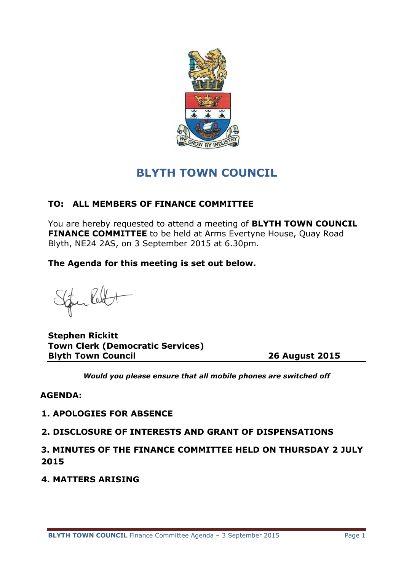

# **BLYTH TOWN COUNCIL**

## **TO: ALL MEMBERS OF FINANCE COMMITTEE**

You are hereby requested to attend a meeting of **BLYTH TOWN COUNCIL FINANCE COMMITTEE** to be held at Arms Evertyne House, Ouay Road Blyth, NE24 2AS, on 3 September 2015 at 6.30pm.

**The Agenda for this meeting is set out below.**

Furled

**Stephen Rickitt Town Clerk (Democratic Services) Blyth Town Council 26 August 2015**

*Would you please ensure that all mobile phones are switched off*

#### **AGENDA:**

## **1. APOLOGIES FOR ABSENCE**

## **2. DISCLOSURE OF INTERESTS AND GRANT OF DISPENSATIONS**

**3. MINUTES OF THE FINANCE COMMITTEE HELD ON THURSDAY 2 JULY 2015**

**4. MATTERS ARISING**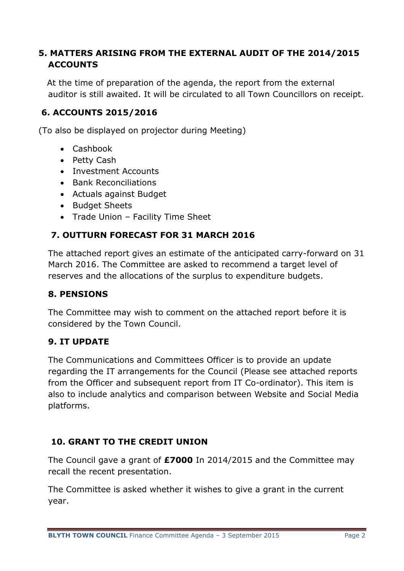## **5. MATTERS ARISING FROM THE EXTERNAL AUDIT OF THE 2014/2015 ACCOUNTS**

 At the time of preparation of the agenda, the report from the external auditor is still awaited. It will be circulated to all Town Councillors on receipt.

## **6. ACCOUNTS 2015/2016**

(To also be displayed on projector during Meeting)

- Cashbook
- Petty Cash
- Investment Accounts
- **•** Bank Reconciliations
- Actuals against Budget
- Budget Sheets
- Trade Union Facility Time Sheet

## **7. OUTTURN FORECAST FOR 31 MARCH 2016**

The attached report gives an estimate of the anticipated carry-forward on 31 March 2016. The Committee are asked to recommend a target level of reserves and the allocations of the surplus to expenditure budgets.

#### **8. PENSIONS**

The Committee may wish to comment on the attached report before it is considered by the Town Council.

## **9. IT UPDATE**

The Communications and Committees Officer is to provide an update regarding the IT arrangements for the Council (Please see attached reports from the Officer and subsequent report from IT Co-ordinator). This item is also to include analytics and comparison between Website and Social Media platforms.

## **10. GRANT TO THE CREDIT UNION**

The Council gave a grant of **£7000** In 2014/2015 and the Committee may recall the recent presentation.

The Committee is asked whether it wishes to give a grant in the current year.